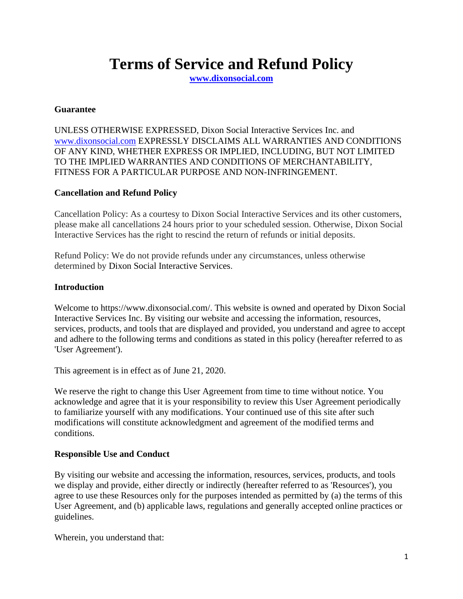# **Terms of Service and Refund Policy**

**[www.dixonsocial.com](http://www.dixonsocial.com/)**

### **Guarantee**

UNLESS OTHERWISE EXPRESSED, Dixon Social Interactive Services Inc. and [www.dixonsocial.com](http://www.dixonsocial.com/) EXPRESSLY DISCLAIMS ALL WARRANTIES AND CONDITIONS OF ANY KIND, WHETHER EXPRESS OR IMPLIED, INCLUDING, BUT NOT LIMITED TO THE IMPLIED WARRANTIES AND CONDITIONS OF MERCHANTABILITY, FITNESS FOR A PARTICULAR PURPOSE AND NON-INFRINGEMENT.

# **Cancellation and Refund Policy**

Cancellation Policy: As a courtesy to Dixon Social Interactive Services and its other customers, please make all cancellations 24 hours prior to your scheduled session. Otherwise, Dixon Social Interactive Services has the right to rescind the return of refunds or initial deposits.

Refund Policy: We do not provide refunds under any circumstances, unless otherwise determined by Dixon Social Interactive Services.

# **Introduction**

Welcome to https://www.dixonsocial.com/. This website is owned and operated by Dixon Social Interactive Services Inc. By visiting our website and accessing the information, resources, services, products, and tools that are displayed and provided, you understand and agree to accept and adhere to the following terms and conditions as stated in this policy (hereafter referred to as 'User Agreement').

This agreement is in effect as of June 21, 2020.

We reserve the right to change this User Agreement from time to time without notice. You acknowledge and agree that it is your responsibility to review this User Agreement periodically to familiarize yourself with any modifications. Your continued use of this site after such modifications will constitute acknowledgment and agreement of the modified terms and conditions.

# **Responsible Use and Conduct**

By visiting our website and accessing the information, resources, services, products, and tools we display and provide, either directly or indirectly (hereafter referred to as 'Resources'), you agree to use these Resources only for the purposes intended as permitted by (a) the terms of this User Agreement, and (b) applicable laws, regulations and generally accepted online practices or guidelines.

Wherein, you understand that: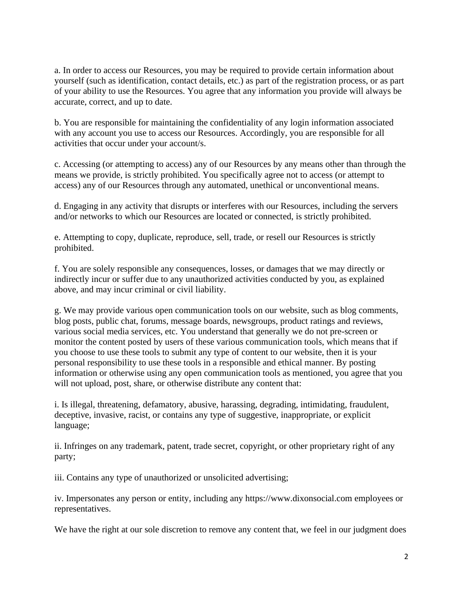a. In order to access our Resources, you may be required to provide certain information about yourself (such as identification, contact details, etc.) as part of the registration process, or as part of your ability to use the Resources. You agree that any information you provide will always be accurate, correct, and up to date.

b. You are responsible for maintaining the confidentiality of any login information associated with any account you use to access our Resources. Accordingly, you are responsible for all activities that occur under your account/s.

c. Accessing (or attempting to access) any of our Resources by any means other than through the means we provide, is strictly prohibited. You specifically agree not to access (or attempt to access) any of our Resources through any automated, unethical or unconventional means.

d. Engaging in any activity that disrupts or interferes with our Resources, including the servers and/or networks to which our Resources are located or connected, is strictly prohibited.

e. Attempting to copy, duplicate, reproduce, sell, trade, or resell our Resources is strictly prohibited.

f. You are solely responsible any consequences, losses, or damages that we may directly or indirectly incur or suffer due to any unauthorized activities conducted by you, as explained above, and may incur criminal or civil liability.

g. We may provide various open communication tools on our website, such as blog comments, blog posts, public chat, forums, message boards, newsgroups, product ratings and reviews, various social media services, etc. You understand that generally we do not pre-screen or monitor the content posted by users of these various communication tools, which means that if you choose to use these tools to submit any type of content to our website, then it is your personal responsibility to use these tools in a responsible and ethical manner. By posting information or otherwise using any open communication tools as mentioned, you agree that you will not upload, post, share, or otherwise distribute any content that:

i. Is illegal, threatening, defamatory, abusive, harassing, degrading, intimidating, fraudulent, deceptive, invasive, racist, or contains any type of suggestive, inappropriate, or explicit language;

ii. Infringes on any trademark, patent, trade secret, copyright, or other proprietary right of any party;

iii. Contains any type of unauthorized or unsolicited advertising;

iv. Impersonates any person or entity, including any https://www.dixonsocial.com employees or representatives.

We have the right at our sole discretion to remove any content that, we feel in our judgment does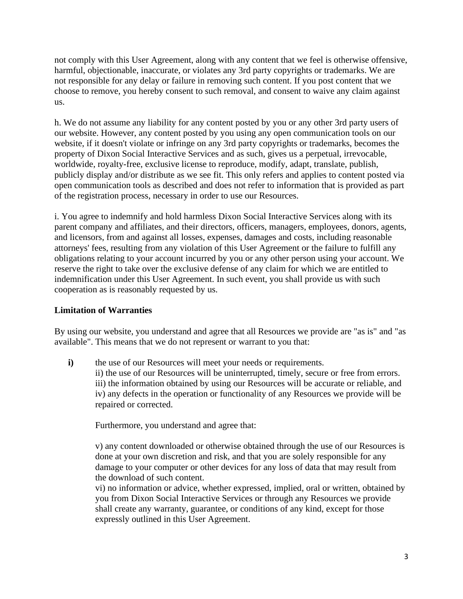not comply with this User Agreement, along with any content that we feel is otherwise offensive, harmful, objectionable, inaccurate, or violates any 3rd party copyrights or trademarks. We are not responsible for any delay or failure in removing such content. If you post content that we choose to remove, you hereby consent to such removal, and consent to waive any claim against us.

h. We do not assume any liability for any content posted by you or any other 3rd party users of our website. However, any content posted by you using any open communication tools on our website, if it doesn't violate or infringe on any 3rd party copyrights or trademarks, becomes the property of Dixon Social Interactive Services and as such, gives us a perpetual, irrevocable, worldwide, royalty-free, exclusive license to reproduce, modify, adapt, translate, publish, publicly display and/or distribute as we see fit. This only refers and applies to content posted via open communication tools as described and does not refer to information that is provided as part of the registration process, necessary in order to use our Resources.

i. You agree to indemnify and hold harmless Dixon Social Interactive Services along with its parent company and affiliates, and their directors, officers, managers, employees, donors, agents, and licensors, from and against all losses, expenses, damages and costs, including reasonable attorneys' fees, resulting from any violation of this User Agreement or the failure to fulfill any obligations relating to your account incurred by you or any other person using your account. We reserve the right to take over the exclusive defense of any claim for which we are entitled to indemnification under this User Agreement. In such event, you shall provide us with such cooperation as is reasonably requested by us.

# **Limitation of Warranties**

By using our website, you understand and agree that all Resources we provide are "as is" and "as available". This means that we do not represent or warrant to you that:

**i**) the use of our Resources will meet your needs or requirements.

ii) the use of our Resources will be uninterrupted, timely, secure or free from errors. iii) the information obtained by using our Resources will be accurate or reliable, and iv) any defects in the operation or functionality of any Resources we provide will be repaired or corrected.

Furthermore, you understand and agree that:

v) any content downloaded or otherwise obtained through the use of our Resources is done at your own discretion and risk, and that you are solely responsible for any damage to your computer or other devices for any loss of data that may result from the download of such content.

vi) no information or advice, whether expressed, implied, oral or written, obtained by you from Dixon Social Interactive Services or through any Resources we provide shall create any warranty, guarantee, or conditions of any kind, except for those expressly outlined in this User Agreement.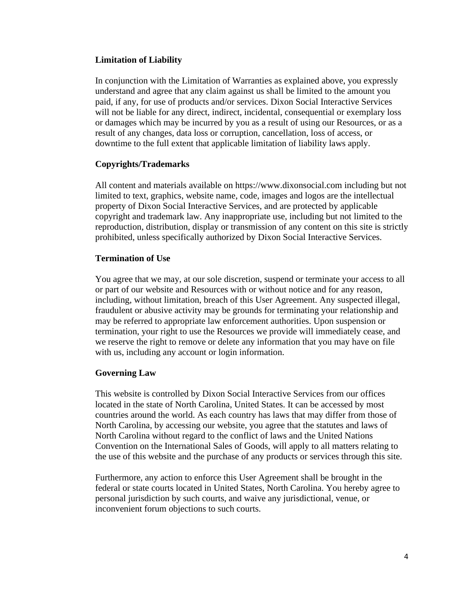# **Limitation of Liability**

In conjunction with the Limitation of Warranties as explained above, you expressly understand and agree that any claim against us shall be limited to the amount you paid, if any, for use of products and/or services. Dixon Social Interactive Services will not be liable for any direct, indirect, incidental, consequential or exemplary loss or damages which may be incurred by you as a result of using our Resources, or as a result of any changes, data loss or corruption, cancellation, loss of access, or downtime to the full extent that applicable limitation of liability laws apply.

# **Copyrights/Trademarks**

All content and materials available on https://www.dixonsocial.com including but not limited to text, graphics, website name, code, images and logos are the intellectual property of Dixon Social Interactive Services, and are protected by applicable copyright and trademark law. Any inappropriate use, including but not limited to the reproduction, distribution, display or transmission of any content on this site is strictly prohibited, unless specifically authorized by Dixon Social Interactive Services.

## **Termination of Use**

You agree that we may, at our sole discretion, suspend or terminate your access to all or part of our website and Resources with or without notice and for any reason, including, without limitation, breach of this User Agreement. Any suspected illegal, fraudulent or abusive activity may be grounds for terminating your relationship and may be referred to appropriate law enforcement authorities. Upon suspension or termination, your right to use the Resources we provide will immediately cease, and we reserve the right to remove or delete any information that you may have on file with us, including any account or login information.

#### **Governing Law**

This website is controlled by Dixon Social Interactive Services from our offices located in the state of North Carolina, United States. It can be accessed by most countries around the world. As each country has laws that may differ from those of North Carolina, by accessing our website, you agree that the statutes and laws of North Carolina without regard to the conflict of laws and the United Nations Convention on the International Sales of Goods, will apply to all matters relating to the use of this website and the purchase of any products or services through this site.

Furthermore, any action to enforce this User Agreement shall be brought in the federal or state courts located in United States, North Carolina. You hereby agree to personal jurisdiction by such courts, and waive any jurisdictional, venue, or inconvenient forum objections to such courts.